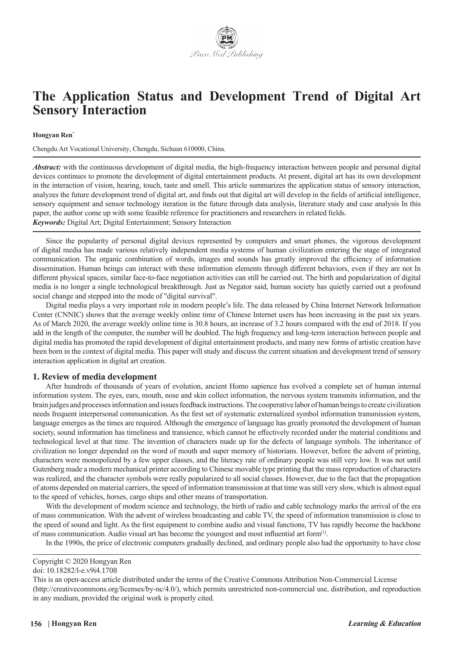

# **The Application Status and Development Trend of Digital Art Sensory Interaction**

#### **Hongyan Ren\***

Chengdu Art Vocational University, Chengdu, Sichuan 610000, China.

*Abstract:* with the continuous development of digital media, the high-frequency interaction between people and personal digital devices continues to promote the development of digital entertainment products. At present, digital art has its own development in the interaction of vision, hearing, touch, taste and smell. This article summarizes the application status of sensory interaction, analyzes the future development trend of digital art, and finds out that digital art will develop in the fields of artificial intelligence, sensory equipment and sensor technology iteration in the future through data analysis, literature study and case analysis In this paper, the author come up with some feasible reference for practitioners and researchers in related fields. *Keywords:* Digital Art; Digital Entertainment; Sensory Interaction

Since the popularity of personal digital devices represented by computers and smart phones, the vigorous development of digital media has made various relatively independent media systems of human civilization entering the stage of integrated communication. The organic combination of words, images and sounds has greatly improved the efficiency of information dissemination. Human beings can interact with these information elements through different behaviors, even if they are not In different physical spaces, similar face-to-face negotiation activities can still be carried out. The birth and popularization of digital media is no longer a single technological breakthrough. Just as Negator said, human society has quietly carried out a profound social change and stepped into the mode of "digital survival".

Digital media plays a very important role in modern people's life. The data released by China Internet Network Information Center (CNNIC) shows that the average weekly online time of Chinese Internet users has been increasing in the past six years. As of March 2020, the average weekly online time is 30.8 hours, an increase of 3.2 hours compared with the end of 2018. If you add in the length of the computer, the number will be doubled. The high frequency and long-term interaction between people and digital media has promoted the rapid development of digital entertainment products, and many new forms of artistic creation have been born in the context of digital media. This paper will study and discuss the current situation and development trend of sensory interaction application in digital art creation.

## **1. Review of media development**

After hundreds of thousands of years of evolution, ancient Homo sapience has evolved a complete set of human internal information system. The eyes, ears, mouth, nose and skin collect information, the nervous system transmits information, and the brain judges and processes information and issues feedback instructions. The cooperative labor of human beings to create civilization needs frequent interpersonal communication. As the first set of systematic externalized symbol information transmission system, language emerges as the times are required. Although the emergence of language has greatly promoted the development of human society, sound information has timeliness and transience, which cannot be effectively recorded under the material conditions and technological level at that time. The invention of characters made up for the defects of language symbols. The inheritance of civilization no longer depended on the word of mouth and super memory of historians. However, before the advent of printing, characters were monopolized by a few upper classes, and the literacy rate of ordinary people was still very low. It was not until Gutenberg made a modern mechanical printer according to Chinese movable type printing that the mass reproduction of characters was realized, and the character symbols were really popularized to all social classes. However, due to the fact that the propagation of atoms depended on material carriers, the speed of information transmission at that time was still very slow, which is almost equal to the speed of vehicles, horses, cargo ships and other means of transportation.

With the development of modern science and technology, the birth of radio and cable technology marks the arrival of the era of mass communication. With the advent of wireless broadcasting and cable TV, the speed of information transmission is close to the speed of sound and light. As the first equipment to combine audio and visual functions, TV has rapidly become the backbone of mass communication. Audio visual art has become the youngest and most influential art form[1].

In the 1990s, the price of electronic computers gradually declined, and ordinary people also had the opportunity to have close

Copyright © 2020 Hongyan Ren

doi: 10.18282/l-e.v9i4.1708

This is an open-access article distributed under the terms of the Creative Commons Attribution Non-Commercial License (http://creativecommons.org/licenses/by-nc/4.0/), which permits unrestricted non-commercial use, distribution, and reproduction in any medium, provided the original work is properly cited.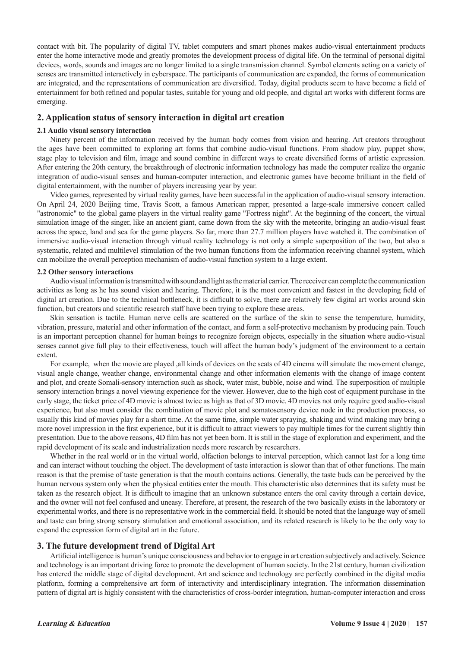contact with bit. The popularity of digital TV, tablet computers and smart phones makes audio-visual entertainment products enter the home interactive mode and greatly promotes the development process of digital life. On the terminal of personal digital devices, words, sounds and images are no longer limited to a single transmission channel. Symbol elements acting on a variety of senses are transmitted interactively in cyberspace. The participants of communication are expanded, the forms of communication are integrated, and the representations of communication are diversified. Today, digital products seem to have become a field of entertainment for both refined and popular tastes, suitable for young and old people, and digital art works with different forms are emerging.

## **2. Application status of sensory interaction in digital art creation**

### **2.1 Audio visual sensory interaction**

Ninety percent of the information received by the human body comes from vision and hearing. Art creators throughout the ages have been committed to exploring art forms that combine audio-visual functions. From shadow play, puppet show, stage play to television and film, image and sound combine in different ways to create diversified forms of artistic expression. After entering the 20th century, the breakthrough of electronic information technology has made the computer realize the organic integration of audio-visual senses and human-computer interaction, and electronic games have become brilliant in the field of digital entertainment, with the number of players increasing year by year.

Video games, represented by virtual reality games, have been successful in the application of audio-visual sensory interaction. On April 24, 2020 Beijing time, Travis Scott, a famous American rapper, presented a large-scale immersive concert called "astronomic" to the global game players in the virtual reality game "Fortress night". At the beginning of the concert, the virtual simulation image of the singer, like an ancient giant, came down from the sky with the meteorite, bringing an audio-visual feast across the space, land and sea for the game players. So far, more than 27.7 million players have watched it. The combination of immersive audio-visual interaction through virtual reality technology is not only a simple superposition of the two, but also a systematic, related and multilevel stimulation of the two human functions from the information receiving channel system, which can mobilize the overall perception mechanism of audio-visual function system to a large extent.

#### **2.2 Other sensory interactions**

Audio visual information is transmitted with sound and light as the material carrier. The receiver can complete the communication activities as long as he has sound vision and hearing. Therefore, it is the most convenient and fastest in the developing field of digital art creation. Due to the technical bottleneck, it is difficult to solve, there are relatively few digital art works around skin function, but creators and scientific research staff have been trying to explore these areas.

Skin sensation is tactile. Human nerve cells are scattered on the surface of the skin to sense the temperature, humidity, vibration, pressure, material and other information of the contact, and form a self-protective mechanism by producing pain. Touch is an important perception channel for human beings to recognize foreign objects, especially in the situation where audio-visual senses cannot give full play to their effectiveness, touch will affect the human body's judgment of the environment to a certain extent.

For example, when the movie are played ,all kinds of devices on the seats of 4D cinema will simulate the movement change, visual angle change, weather change, environmental change and other information elements with the change of image content and plot, and create Somali-sensory interaction such as shock, water mist, bubble, noise and wind. The superposition of multiple sensory interaction brings a novel viewing experience for the viewer. However, due to the high cost of equipment purchase in the early stage, the ticket price of 4D movie is almost twice as high as that of 3D movie. 4D movies not only require good audio-visual experience, but also must consider the combination of movie plot and somatosensory device node in the production process, so usually this kind of movies play for a short time. At the same time, simple water spraying, shaking and wind making may bring a more novel impression in the first experience, but it is difficult to attract viewers to pay multiple times for the current slightly thin presentation. Due to the above reasons, 4D film has not yet been born. It is still in the stage of exploration and experiment, and the rapid development of its scale and industrialization needs more research by researchers.

Whether in the real world or in the virtual world, olfaction belongs to interval perception, which cannot last for a long time and can interact without touching the object. The development of taste interaction is slower than that of other functions. The main reason is that the premise of taste generation is that the mouth contains actions. Generally, the taste buds can be perceived by the human nervous system only when the physical entities enter the mouth. This characteristic also determines that its safety must be taken as the research object. It is difficult to imagine that an unknown substance enters the oral cavity through a certain device, and the owner will not feel confused and uneasy. Therefore, at present, the research of the two basically exists in the laboratory or experimental works, and there is no representative work in the commercial field. It should be noted that the language way of smell and taste can bring strong sensory stimulation and emotional association, and its related research is likely to be the only way to expand the expression form of digital art in the future.

# **3. The future development trend of Digital Art**

Artificial intelligence is human's unique consciousness and behavior to engage in art creation subjectively and actively. Science and technology is an important driving force to promote the development of human society. In the 21st century, human civilization has entered the middle stage of digital development. Art and science and technology are perfectly combined in the digital media platform, forming a comprehensive art form of interactivity and interdisciplinary integration. The information dissemination pattern of digital art is highly consistent with the characteristics of cross-border integration, human-computer interaction and cross